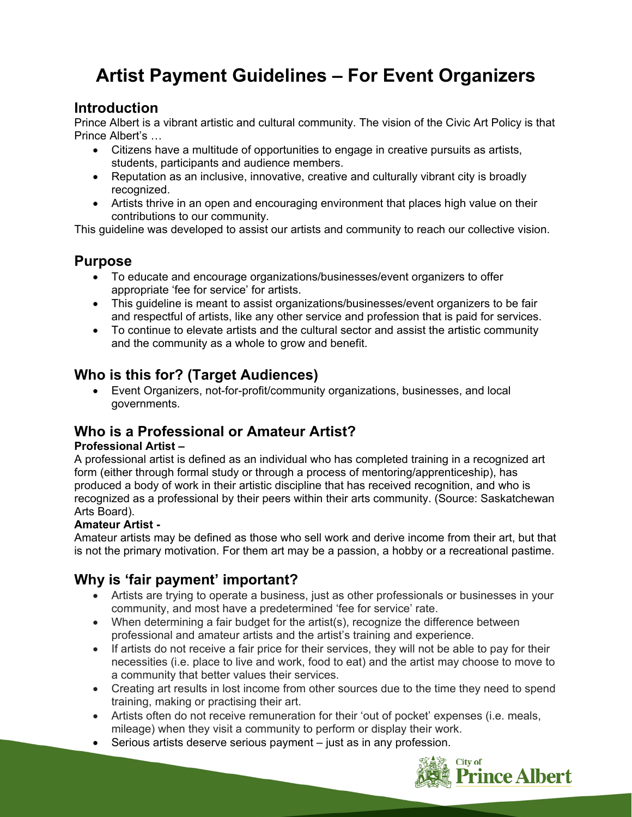# **Artist Payment Guidelines – For Event Organizers**

### **Introduction**

Prince Albert is a vibrant artistic and cultural community. The vision of the Civic Art Policy is that Prince Albert's …

- Citizens have a multitude of opportunities to engage in creative pursuits as artists, students, participants and audience members.
- Reputation as an inclusive, innovative, creative and culturally vibrant city is broadly recognized.
- Artists thrive in an open and encouraging environment that places high value on their contributions to our community.

This guideline was developed to assist our artists and community to reach our collective vision.

## **Purpose**

- To educate and encourage organizations/businesses/event organizers to offer appropriate 'fee for service' for artists.
- This guideline is meant to assist organizations/businesses/event organizers to be fair and respectful of artists, like any other service and profession that is paid for services.
- To continue to elevate artists and the cultural sector and assist the artistic community and the community as a whole to grow and benefit.

# **Who is this for? (Target Audiences)**

 Event Organizers, not-for-profit/community organizations, businesses, and local governments.

# **Who is a Professional or Amateur Artist?**

#### **Professional Artist –**

A professional artist is defined as an individual who has completed training in a recognized art form (either through formal study or through a process of mentoring/apprenticeship), has produced a body of work in their artistic discipline that has received recognition, and who is recognized as a professional by their peers within their arts community. (Source: Saskatchewan Arts Board).

#### **Amateur Artist -**

Amateur artists may be defined as those who sell work and derive income from their art, but that is not the primary motivation. For them art may be a passion, a hobby or a recreational pastime.

# **Why is 'fair payment' important?**

- Artists are trying to operate a business, just as other professionals or businesses in your community, and most have a predetermined 'fee for service' rate.
- When determining a fair budget for the artist(s), recognize the difference between professional and amateur artists and the artist's training and experience.
- If artists do not receive a fair price for their services, they will not be able to pay for their necessities (i.e. place to live and work, food to eat) and the artist may choose to move to a community that better values their services.
- Creating art results in lost income from other sources due to the time they need to spend training, making or practising their art.
- Artists often do not receive remuneration for their 'out of pocket' expenses (i.e. meals, mileage) when they visit a community to perform or display their work.
- Serious artists deserve serious payment just as in any profession.